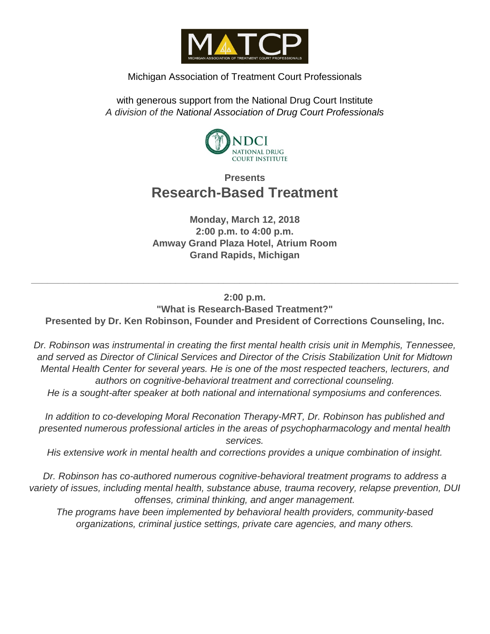

#### Michigan Association of Treatment Court Professionals

with generous support from the National Drug Court Institute *A division of the National Association of Drug Court Professionals*



## **Presents Research-Based Treatment**

**Monday, March 12, 2018 2:00 p.m. to 4:00 p.m. Amway Grand Plaza Hotel, Atrium Room Grand Rapids, Michigan**

### **2:00 p.m. "What is Research-Based Treatment?"**

**Presented by Dr. Ken Robinson, Founder and President of Corrections Counseling, Inc.**

**\_\_\_\_\_\_\_\_\_\_\_\_\_\_\_\_\_\_\_\_\_\_\_\_\_\_\_\_\_\_\_\_\_\_\_\_\_\_\_\_\_\_\_\_\_\_\_\_\_\_\_\_\_\_\_\_\_\_\_\_\_\_\_\_\_\_\_\_\_\_\_\_\_\_\_\_\_\_\_\_**

*Dr. Robinson was instrumental in creating the first mental health crisis unit in Memphis, Tennessee, and served as Director of Clinical Services and Director of the Crisis Stabilization Unit for Midtown Mental Health Center for several years. He is one of the most respected teachers, lecturers, and authors on cognitive-behavioral treatment and correctional counseling.*

*He is a sought-after speaker at both national and international symposiums and conferences.*

*In addition to co-developing Moral Reconation Therapy-MRT, Dr. Robinson has published and presented numerous professional articles in the areas of psychopharmacology and mental health services.*

*His extensive work in mental health and corrections provides a unique combination of insight.*

*Dr. Robinson has co-authored numerous cognitive-behavioral treatment programs to address a variety of issues, including mental health, substance abuse, trauma recovery, relapse prevention, DUI offenses, criminal thinking, and anger management.*

*The programs have been implemented by behavioral health providers, community-based organizations, criminal justice settings, private care agencies, and many others.*